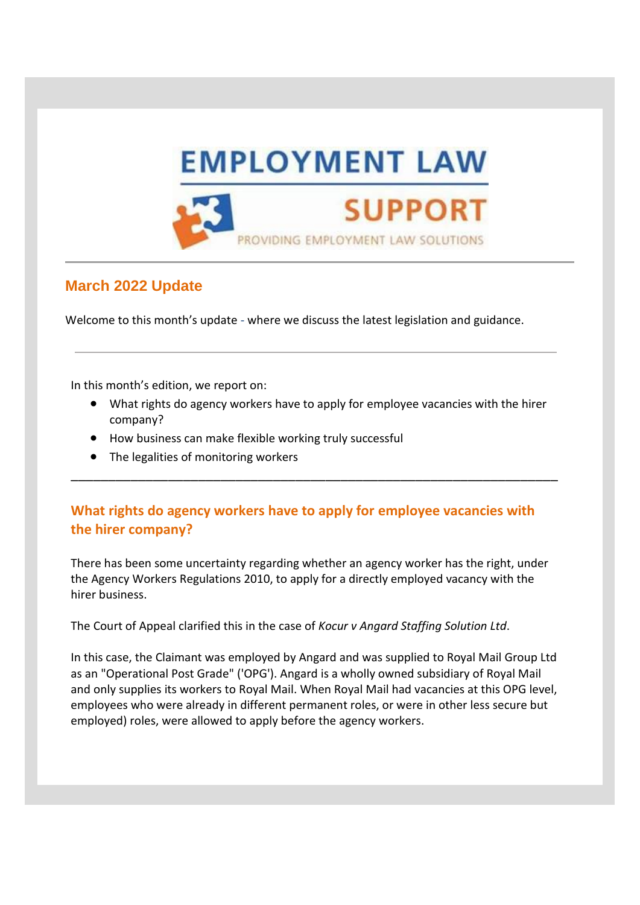

# **March 2022 Update**

Welcome to this month's update - where we discuss the latest legislation and guidance.

In this month's edition, we report on:

• What rights do agency workers have to apply for employee vacancies with the hirer company?

\_\_\_\_\_\_\_\_\_\_\_\_\_\_\_\_\_\_\_\_\_\_\_\_\_\_\_\_\_\_\_\_\_\_\_\_\_\_\_\_\_\_\_\_\_\_\_\_\_\_\_\_\_\_\_\_\_\_\_\_\_\_\_\_\_

- How business can make flexible working truly successful
- The legalities of monitoring workers

## **What rights do agency workers have to apply for employee vacancies with the hirer company?**

There has been some uncertainty regarding whether an agency worker has the right, under the Agency Workers Regulations 2010, to apply for a directly employed vacancy with the hirer business.

The Court of Appeal clarified this in the case of *Kocur v Angard Staffing Solution Ltd*.

In this case, the Claimant was employed by Angard and was supplied to Royal Mail Group Ltd as an "Operational Post Grade" ('OPG'). Angard is a wholly owned subsidiary of Royal Mail and only supplies its workers to Royal Mail. When Royal Mail had vacancies at this OPG level, employees who were already in different permanent roles, or were in other less secure but employed) roles, were allowed to apply before the agency workers.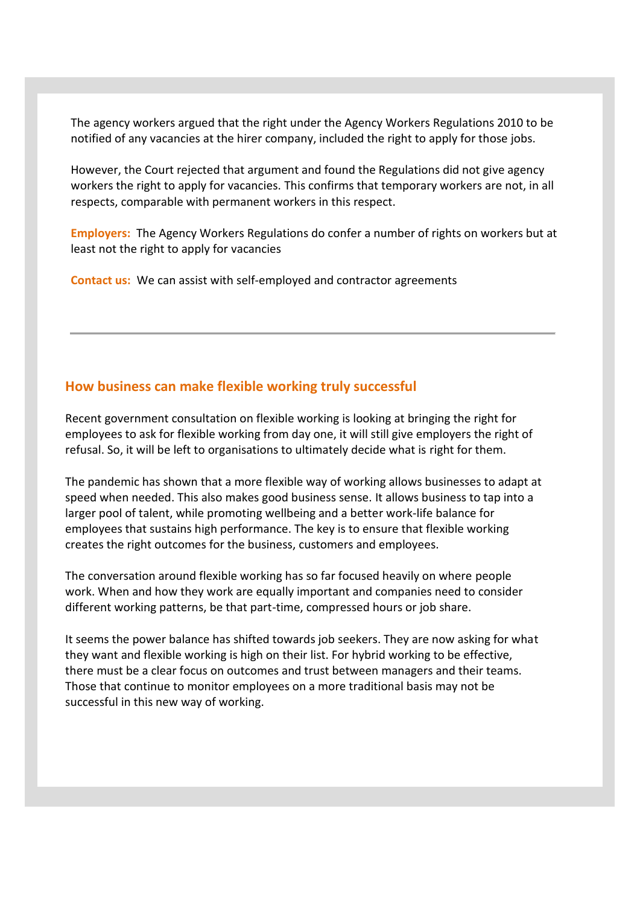The agency workers argued that the right under the Agency Workers Regulations 2010 to be notified of any vacancies at the hirer company, included the right to apply for those jobs.

However, the Court rejected that argument and found the Regulations did not give agency workers the right to apply for vacancies. This confirms that temporary workers are not, in all respects, comparable with permanent workers in this respect.

**Employers:** The Agency Workers Regulations do confer a number of rights on workers but at least not the right to apply for vacancies

**Contact us:** We can assist with self-employed and contractor agreements

### **How business can make flexible working truly successful**

Recent government consultation on flexible working is looking at bringing the right for employees to ask for flexible working from day one, it will still give employers the right of refusal. So, it will be left to organisations to ultimately decide what is right for them.

The pandemic has shown that a more flexible way of working allows businesses to adapt at speed when needed. This also makes good business sense. It allows business to tap into a larger pool of talent, while promoting wellbeing and a better work-life balance for employees that sustains high performance. The key is to ensure that flexible working creates the right outcomes for the business, customers and employees.

The conversation around flexible working has so far focused heavily on where people work. When and how they work are equally important and companies need to consider different working patterns, be that part-time, compressed hours or job share.

It seems the power balance has shifted towards job seekers. They are now asking for what they want and flexible working is high on their list. For hybrid working to be effective, there must be a clear focus on outcomes and trust between managers and their teams. Those that continue to monitor employees on a more traditional basis may not be successful in this new way of working.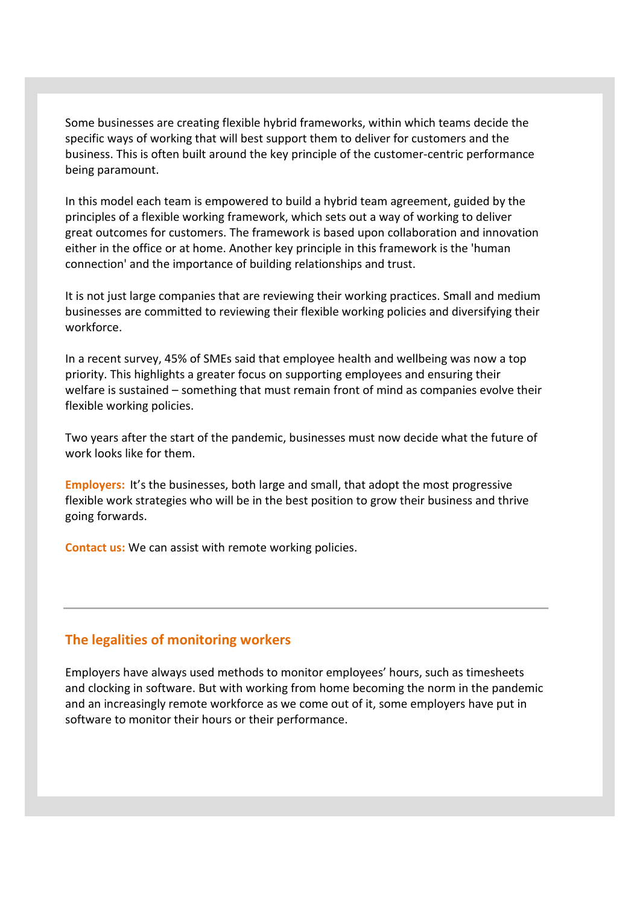Some businesses are creating flexible hybrid frameworks, within which teams decide the specific ways of working that will best support them to deliver for customers and the business. This is often built around the key principle of the customer-centric performance being paramount.

In this model each team is empowered to build a hybrid team agreement, guided by the principles of a flexible working framework, which sets out a way of working to deliver great outcomes for customers. The framework is based upon collaboration and innovation either in the office or at home. Another key principle in this framework is the 'human connection' and the importance of building relationships and trust.

It is not just large companies that are reviewing their working practices. Small and medium businesses are committed to reviewing their flexible working policies and diversifying their workforce.

In a recent survey, 45% of SMEs said that employee health and wellbeing was now a top priority. This highlights a greater focus on supporting employees and ensuring their welfare is sustained – something that must remain front of mind as companies evolve their flexible working policies.

Two years after the start of the pandemic, businesses must now decide what the future of work looks like for them.

**Employers:** It's the businesses, both large and small, that adopt the most progressive flexible work strategies who will be in the best position to grow their business and thrive going forwards.

**Contact us:** We can assist with remote working policies.

#### **The legalities of monitoring workers**

Employers have always used methods to monitor employees' hours, such as timesheets and clocking in software. But with working from home becoming the norm in the pandemic and an increasingly remote workforce as we come out of it, some employers have put in software to monitor their hours or their performance.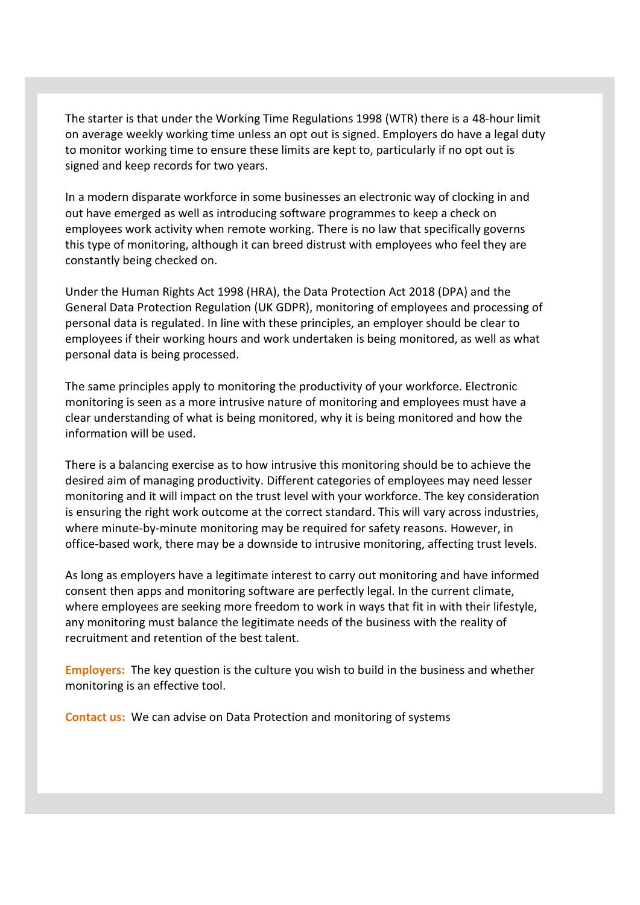The starter is that under the Working Time Regulations 1998 (WTR) there is a 48-hour limit on average weekly working time unless an opt out is signed. Employers do have a legal duty to monitor working time to ensure these limits are kept to, particularly if no opt out is signed and keep records for two years.

In a modern disparate workforce in some businesses an electronic way of clocking in and out have emerged as well as introducing software programmes to keep a check on employees work activity when remote working. There is no law that specifically governs this type of monitoring, although it can breed distrust with employees who feel they are constantly being checked on.

Under the Human Rights Act 1998 (HRA), the Data Protection Act 2018 (DPA) and the General Data Protection Regulation (UK GDPR), monitoring of employees and processing of personal data is regulated. In line with these principles, an employer should be clear to employees if their working hours and work undertaken is being monitored, as well as what personal data is being processed.

The same principles apply to monitoring the productivity of your workforce. Electronic monitoring is seen as a more intrusive nature of monitoring and employees must have a clear understanding of what is being monitored, why it is being monitored and how the information will be used.

There is a balancing exercise as to how intrusive this monitoring should be to achieve the desired aim of managing productivity. Different categories of employees may need lesser monitoring and it will impact on the trust level with your workforce. The key consideration is ensuring the right work outcome at the correct standard. This will vary across industries, where minute-by-minute monitoring may be required for safety reasons. However, in office-based work, there may be a downside to intrusive monitoring, affecting trust levels.

As long as employers have a legitimate interest to carry out monitoring and have informed consent then apps and monitoring software are perfectly legal. In the current climate, where employees are seeking more freedom to work in ways that fit in with their lifestyle, any monitoring must balance the legitimate needs of the business with the reality of recruitment and retention of the best talent.

**Employers:** The key question is the culture you wish to build in the business and whether monitoring is an effective tool.

**Contact us:** We can advise on Data Protection and monitoring of systems